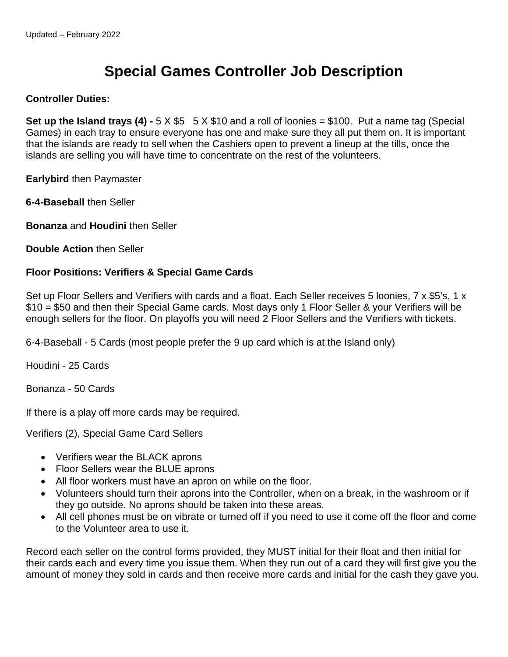# **Special Games Controller Job Description**

#### **Controller Duties:**

**Set up the Island trays (4) -**  $5 \times $5$   $5 \times $10$  and a roll of loonies = \$100. Put a name tag (Special Games) in each tray to ensure everyone has one and make sure they all put them on. It is important that the islands are ready to sell when the Cashiers open to prevent a lineup at the tills, once the islands are selling you will have time to concentrate on the rest of the volunteers.

**Earlybird** then Paymaster

**6-4-Baseball** then Seller

**Bonanza** and **Houdini** then Seller

**Double Action** then Seller

#### **Floor Positions: Verifiers & Special Game Cards**

Set up Floor Sellers and Verifiers with cards and a float. Each Seller receives 5 loonies, 7 x \$5's, 1 x \$10 = \$50 and then their Special Game cards. Most days only 1 Floor Seller & your Verifiers will be enough sellers for the floor. On playoffs you will need 2 Floor Sellers and the Verifiers with tickets.

6-4-Baseball - 5 Cards (most people prefer the 9 up card which is at the Island only)

Houdini - 25 Cards

Bonanza - 50 Cards

If there is a play off more cards may be required.

Verifiers (2), Special Game Card Sellers

- Verifiers wear the BLACK aprons
- Floor Sellers wear the BLUE aprons
- All floor workers must have an apron on while on the floor.
- Volunteers should turn their aprons into the Controller, when on a break, in the washroom or if they go outside. No aprons should be taken into these areas.
- All cell phones must be on vibrate or turned off if you need to use it come off the floor and come to the Volunteer area to use it.

Record each seller on the control forms provided, they MUST initial for their float and then initial for their cards each and every time you issue them. When they run out of a card they will first give you the amount of money they sold in cards and then receive more cards and initial for the cash they gave you.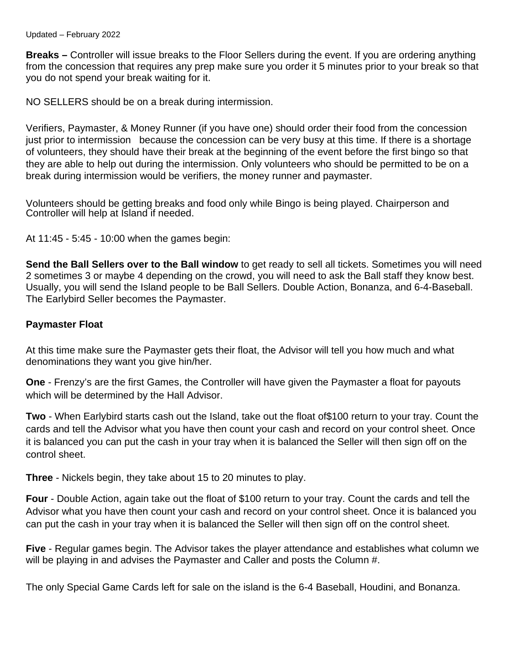#### Updated – February 2022

**Breaks –** Controller will issue breaks to the Floor Sellers during the event. If you are ordering anything from the concession that requires any prep make sure you order it 5 minutes prior to your break so that you do not spend your break waiting for it.

NO SELLERS should be on a break during intermission.

Verifiers, Paymaster, & Money Runner (if you have one) should order their food from the concession just prior to intermission because the concession can be very busy at this time. If there is a shortage of volunteers, they should have their break at the beginning of the event before the first bingo so that they are able to help out during the intermission. Only volunteers who should be permitted to be on a break during intermission would be verifiers, the money runner and paymaster.

Volunteers should be getting breaks and food only while Bingo is being played. Chairperson and Controller will help at Island if needed.

At 11:45 - 5:45 - 10:00 when the games begin:

**Send the Ball Sellers over to the Ball window** to get ready to sell all tickets. Sometimes you will need 2 sometimes 3 or maybe 4 depending on the crowd, you will need to ask the Ball staff they know best. Usually, you will send the Island people to be Ball Sellers. Double Action, Bonanza, and 6-4-Baseball. The Earlybird Seller becomes the Paymaster.

#### **Paymaster Float**

At this time make sure the Paymaster gets their float, the Advisor will tell you how much and what denominations they want you give hin/her.

**One** - Frenzy's are the first Games, the Controller will have given the Paymaster a float for payouts which will be determined by the Hall Advisor.

**Two** - When Earlybird starts cash out the Island, take out the float of\$100 return to your tray. Count the cards and tell the Advisor what you have then count your cash and record on your control sheet. Once it is balanced you can put the cash in your tray when it is balanced the Seller will then sign off on the control sheet.

**Three** - Nickels begin, they take about 15 to 20 minutes to play.

**Four** - Double Action, again take out the float of \$100 return to your tray. Count the cards and tell the Advisor what you have then count your cash and record on your control sheet. Once it is balanced you can put the cash in your tray when it is balanced the Seller will then sign off on the control sheet.

**Five** - Regular games begin. The Advisor takes the player attendance and establishes what column we will be playing in and advises the Paymaster and Caller and posts the Column #.

The only Special Game Cards left for sale on the island is the 6-4 Baseball, Houdini, and Bonanza.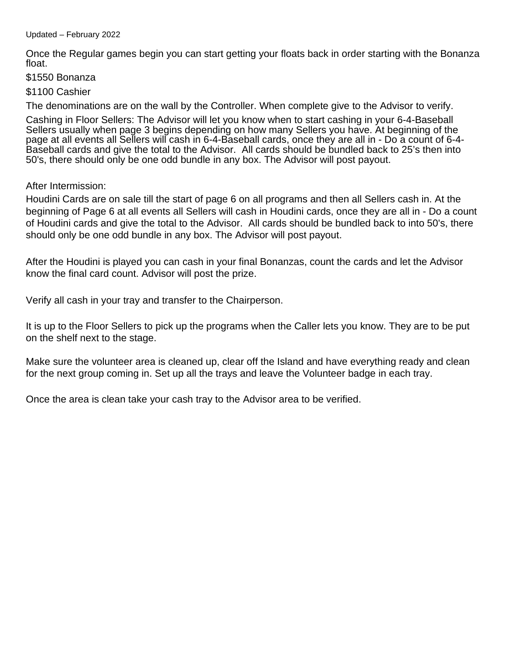Updated – February 2022

Once the Regular games begin you can start getting your floats back in order starting with the Bonanza float.

\$1550 Bonanza

\$1100 Cashier

The denominations are on the wall by the Controller. When complete give to the Advisor to verify.

Cashing in Floor Sellers: The Advisor will let you know when to start cashing in your 6-4-Baseball Sellers usually when page 3 begins depending on how many Sellers you have. At beginning of the page at all events all Sellers will cash in 6-4-Baseball cards, once they are all in - Do a count of 6-4-Baseball cards and give the total to the Advisor. All cards should be bundled back to 25's then into 50's, there should only be one odd bundle in any box. The Advisor will post payout.

After Intermission:

Houdini Cards are on sale till the start of page 6 on all programs and then all Sellers cash in. At the beginning of Page 6 at all events all Sellers will cash in Houdini cards, once they are all in - Do a count of Houdini cards and give the total to the Advisor. All cards should be bundled back to into 50's, there should only be one odd bundle in any box. The Advisor will post payout.

After the Houdini is played you can cash in your final Bonanzas, count the cards and let the Advisor know the final card count. Advisor will post the prize.

Verify all cash in your tray and transfer to the Chairperson.

It is up to the Floor Sellers to pick up the programs when the Caller lets you know. They are to be put on the shelf next to the stage.

Make sure the volunteer area is cleaned up, clear off the Island and have everything ready and clean for the next group coming in. Set up all the trays and leave the Volunteer badge in each tray.

Once the area is clean take your cash tray to the Advisor area to be verified.